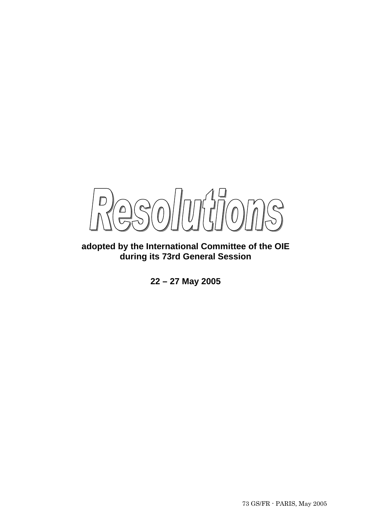

**adopted by the International Committee of the OIE during its 73rd General Session** 

**22 – 27 May 2005**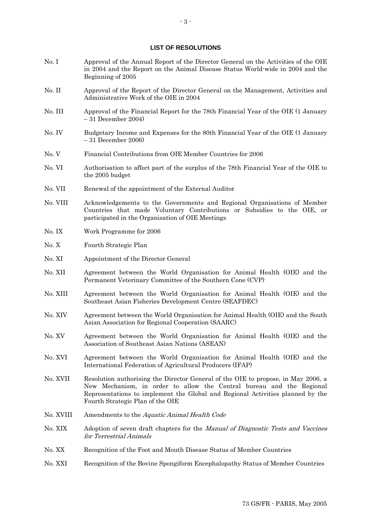#### **LIST OF RESOLUTIONS**

- No. I Approval of the Annual Report of the Director General on the Activities of the OIE in 2004 and the Report on the Animal Disease Status World-wide in 2004 and the Beginning of 2005
- No. II Approval of the Report of the Director General on the Management, Activities and Administrative Work of the OIE in 2004
- No. III Approval of the Financial Report for the 78th Financial Year of the OIE (1 January – 31 December 2004)
- No. IV Budgetary Income and Expenses for the 80th Financial Year of the OIE (1 January – 31 December 2006)
- No. V Financial Contributions from OIE Member Countries for 2006
- No. VI Authorisation to affect part of the surplus of the 78th Financial Year of the OIE to the 2005 budget
- No. VII Renewal of the appointment of the External Auditor
- No. VIII Acknowledgements to the Governments and Regional Organisations of Member Countries that made Voluntary Contributions or Subsidies to the OIE, or participated in the Organisation of OIE Meetings
- No. IX Work Programme for 2006
- No. X Fourth Strategic Plan
- No. XI Appointment of the Director General
- No. XII Agreement between the World Organisation for Animal Health (OIE) and the Permanent Veterinary Committee of the Southern Cone (CVP)
- No. XIII Agreement between the World Organisation for Animal Health (OIE) and the Southeast Asian Fisheries Development Centre (SEAFDEC)
- No. XIV Agreement between the World Organisation for Animal Health (OIE) and the South Asian Association for Regional Cooperation (SAARC)
- No. XV Agreement between the World Organisation for Animal Health (OIE) and the Association of Southeast Asian Nations (ASEAN)
- No. XVI Agreement between the World Organisation for Animal Health (OIE) and the International Federation of Agricultural Producers (IFAP)
- No. XVII Resolution authorising the Director General of the OIE to propose, in May 2006, a New Mechanism, in order to allow the Central bureau and the Regional Representations to implement the Global and Regional Activities planned by the Fourth Strategic Plan of the OIE
- No. XVIII Amendments to the Aquatic Animal Health Code
- No. XIX Adoption of seven draft chapters for the *Manual of Diagnostic Tests and Vaccines* for Terrestrial Animals
- No. XX Recognition of the Foot and Mouth Disease Status of Member Countries
- No. XXI Recognition of the Bovine Spongiform Encephalopathy Status of Member Countries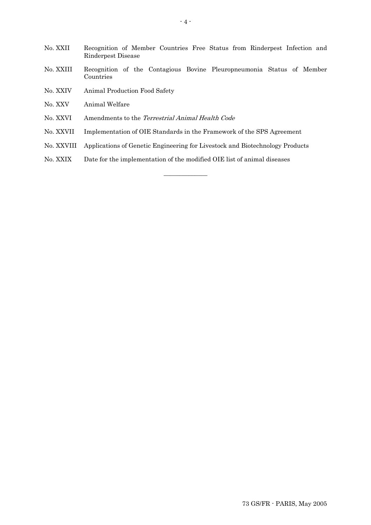- No. XXII Recognition of Member Countries Free Status from Rinderpest Infection and Rinderpest Disease
- No. XXIII Recognition of the Contagious Bovine Pleuropneumonia Status of Member Countries
- No. XXIV Animal Production Food Safety
- No. XXV Animal Welfare
- No. XXVI Amendments to the Terrestrial Animal Health Code
- No. XXVII Implementation of OIE Standards in the Framework of the SPS Agreement
- No. XXVIII Applications of Genetic Engineering for Livestock and Biotechnology Products

**\_\_\_\_\_\_\_\_\_\_\_\_\_\_** 

No. XXIX Date for the implementation of the modified OIE list of animal diseases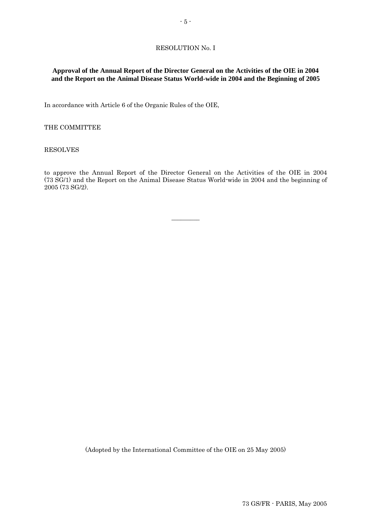### RESOLUTION No. I

### **Approval of the Annual Report of the Director General on the Activities of the OIE in 2004 and the Report on the Animal Disease Status World-wide in 2004 and the Beginning of 2005**

In accordance with Article 6 of the Organic Rules of the OIE,

#### THE COMMITTEE

#### RESOLVES

to approve the Annual Report of the Director General on the Activities of the OIE in 2004 (73 SG/1) and the Report on the Animal Disease Status World-wide in 2004 and the beginning of 2005 (73 SG/2).

 $\overline{\phantom{a}}$   $\overline{\phantom{a}}$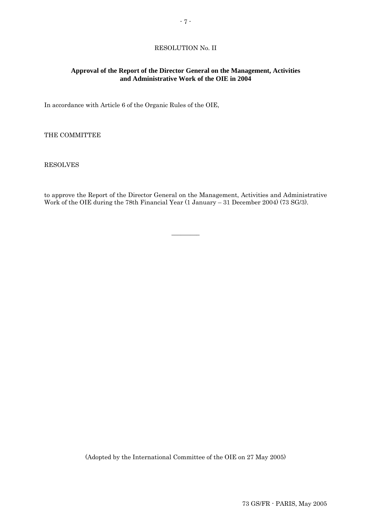### RESOLUTION No. II

### **Approval of the Report of the Director General on the Management, Activities and Administrative Work of the OIE in 2004**

In accordance with Article 6 of the Organic Rules of the OIE,

THE COMMITTEE

RESOLVES

to approve the Report of the Director General on the Management, Activities and Administrative Work of the OIE during the 78th Financial Year (1 January – 31 December 2004) (73 SG/3).

 $\overline{\phantom{a}}$   $\overline{\phantom{a}}$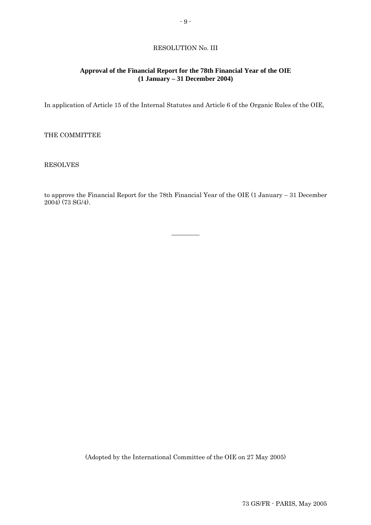# RESOLUTION No. III

### **Approval of the Financial Report for the 78th Financial Year of the OIE (1 January – 31 December 2004)**

In application of Article 15 of the Internal Statutes and Article 6 of the Organic Rules of the OIE,

THE COMMITTEE

RESOLVES

to approve the Financial Report for the 78th Financial Year of the OIE (1 January – 31 December 2004) (73 SG/4).

 $\overline{\phantom{a}}$   $\overline{\phantom{a}}$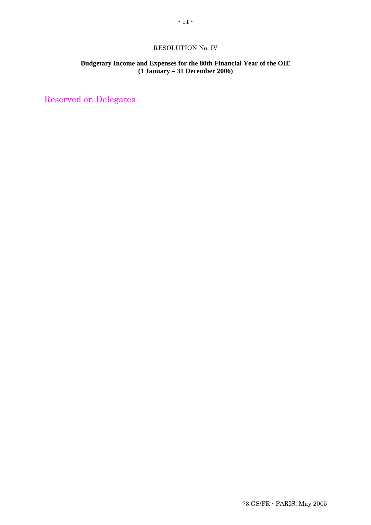### RESOLUTION No. IV

# **Budgetary Income and Expenses for the 80th Financial Year of the OIE (1 January – 31 December 2006)**

Reserved on Delegates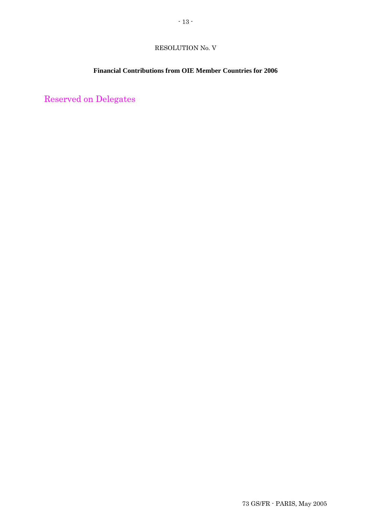# RESOLUTION No. V

# **Financial Contributions from OIE Member Countries for 2006**

Reserved on Delegates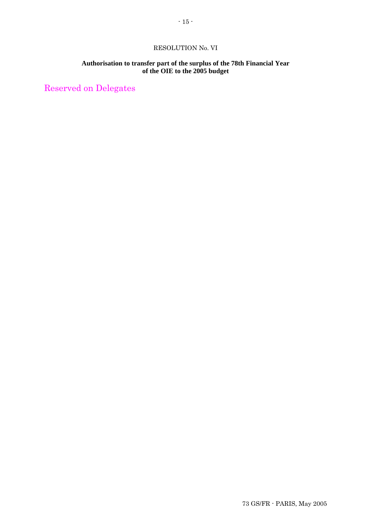### RESOLUTION No. VI

### **Authorisation to transfer part of the surplus of the 78th Financial Year of the OIE to the 2005 budget**

Reserved on Delegates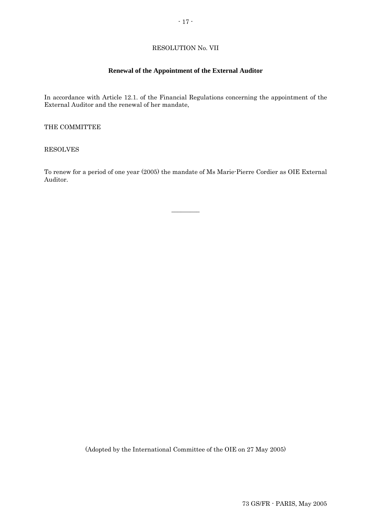# RESOLUTION No. VII

### **Renewal of the Appointment of the External Auditor**

In accordance with Article 12.1. of the Financial Regulations concerning the appointment of the External Auditor and the renewal of her mandate,

THE COMMITTEE

RESOLVES

To renew for a period of one year (2005) the mandate of Ms Marie-Pierre Cordier as OIE External Auditor.

 $\overline{\phantom{a}}$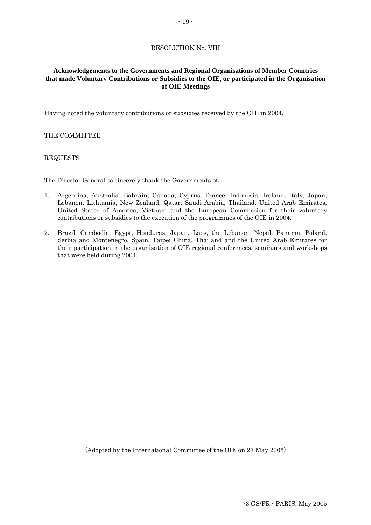### RESOLUTION No. VIII

### **Acknowledgements to the Governments and Regional Organisations of Member Countries that made Voluntary Contributions or Subsidies to the OIE, or participated in the Organisation of OIE Meetings**

Having noted the voluntary contributions or subsidies received by the OIE in 2004,

#### THE COMMITTEE

#### REQUESTS

The Director General to sincerely thank the Governments of:

- 1. Argentina, Australia, Bahrain, Canada, Cyprus, France, Indonesia, Ireland, Italy, Japan, Lebanon, Lithuania, New Zealand, Qatar, Saudi Arabia, Thailand, United Arab Emirates, United States of America, Vietnam and the European Commission for their voluntary contributions or subsidies to the execution of the programmes of the OIE in 2004.
- 2. Brazil, Cambodia, Egypt, Honduras, Japan, Laos, the Lebanon, Nepal, Panama, Poland, Serbia and Montenegro, Spain, Taipei China, Thailand and the United Arab Emirates for their participation in the organisation of OIE regional conferences, seminars and workshops that were held during 2004.

 $\overline{\phantom{a}}$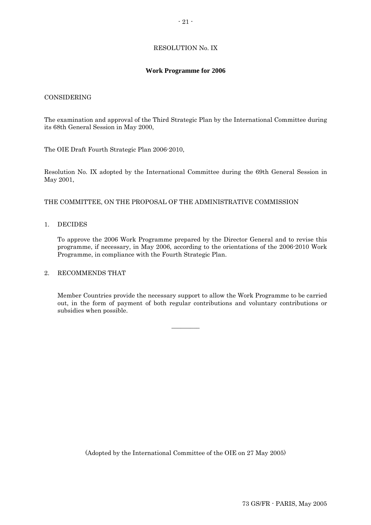## RESOLUTION No. IX

#### **Work Programme for 2006**

#### CONSIDERING

The examination and approval of the Third Strategic Plan by the International Committee during its 68th General Session in May 2000,

The OIE Draft Fourth Strategic Plan 2006-2010,

Resolution No. IX adopted by the International Committee during the 69th General Session in May 2001,

THE COMMITTEE, ON THE PROPOSAL OF THE ADMINISTRATIVE COMMISSION

#### 1. DECIDES

To approve the 2006 Work Programme prepared by the Director General and to revise this programme, if necessary, in May 2006, according to the orientations of the 2006-2010 Work Programme, in compliance with the Fourth Strategic Plan.

#### 2. RECOMMENDS THAT

 Member Countries provide the necessary support to allow the Work Programme to be carried out, in the form of payment of both regular contributions and voluntary contributions or subsidies when possible.

 $\overline{\phantom{a}}$   $\overline{\phantom{a}}$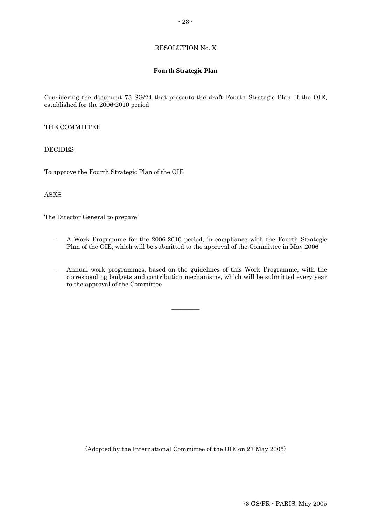### RESOLUTION No. X

### **Fourth Strategic Plan**

Considering the document 73 SG/24 that presents the draft Fourth Strategic Plan of the OIE, established for the 2006-2010 period

### THE COMMITTEE

### DECIDES

To approve the Fourth Strategic Plan of the OIE

### ASKS

The Director General to prepare:

- A Work Programme for the 2006-2010 period, in compliance with the Fourth Strategic Plan of the OIE, which will be submitted to the approval of the Committee in May 2006
- Annual work programmes, based on the guidelines of this Work Programme, with the corresponding budgets and contribution mechanisms, which will be submitted every year to the approval of the Committee

 $\overline{\phantom{a}}$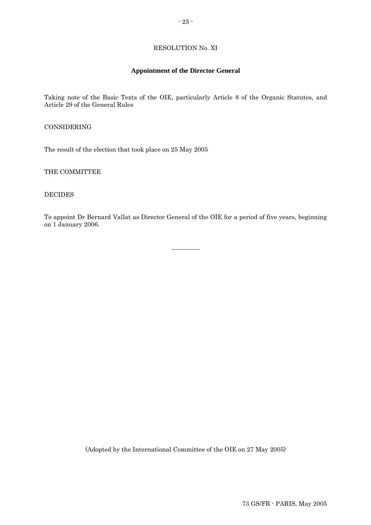### RESOLUTION No. XI

### **Appointment of the Director General**

Taking note of the Basic Texts of the OIE, particularly Article 8 of the Organic Statutes, and Article 29 of the General Rules

CONSIDERING

The result of the election that took place on 25 May 2005

THE COMMITTEE

DECIDES

To appoint Dr Bernard Vallat as Director General of the OIE for a period of five years, beginning on 1 January 2006.

 $\overline{\phantom{a}}$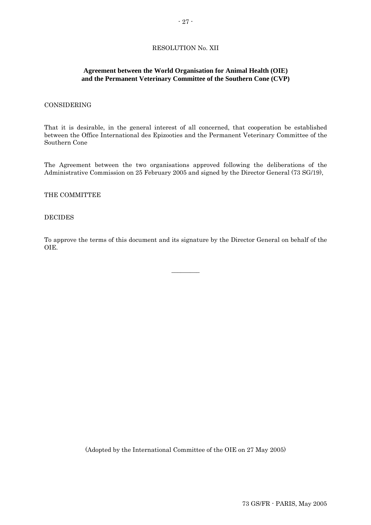### RESOLUTION No. XII

### **Agreement between the World Organisation for Animal Health (OIE) and the Permanent Veterinary Committee of the Southern Cone (CVP)**

#### CONSIDERING

That it is desirable, in the general interest of all concerned, that cooperation be established between the Office International des Epizooties and the Permanent Veterinary Committee of the Southern Cone

The Agreement between the two organisations approved following the deliberations of the Administrative Commission on 25 February 2005 and signed by the Director General (73 SG/19),

#### THE COMMITTEE

#### DECIDES

To approve the terms of this document and its signature by the Director General on behalf of the OIE.

 $\overline{\phantom{a}}$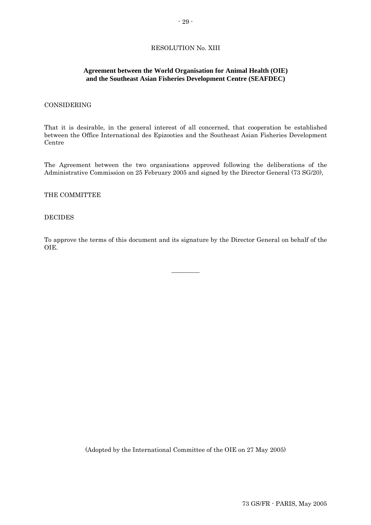### **Agreement between the World Organisation for Animal Health (OIE) and the Southeast Asian Fisheries Development Centre (SEAFDEC)**

#### CONSIDERING

That it is desirable, in the general interest of all concerned, that cooperation be established between the Office International des Epizooties and the Southeast Asian Fisheries Development Centre

The Agreement between the two organisations approved following the deliberations of the Administrative Commission on 25 February 2005 and signed by the Director General (73 SG/20),

#### THE COMMITTEE

#### DECIDES

To approve the terms of this document and its signature by the Director General on behalf of the OIE.

 $\overline{\phantom{a}}$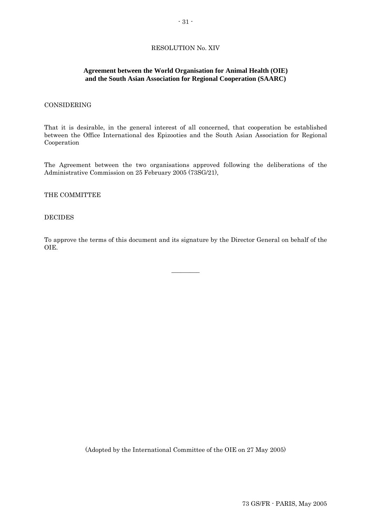### RESOLUTION No. XIV

#### **Agreement between the World Organisation for Animal Health (OIE) and the South Asian Association for Regional Cooperation (SAARC)**

#### CONSIDERING

That it is desirable, in the general interest of all concerned, that cooperation be established between the Office International des Epizooties and the South Asian Association for Regional Cooperation

The Agreement between the two organisations approved following the deliberations of the Administrative Commission on 25 February 2005 (73SG/21),

#### THE COMMITTEE

#### DECIDES

To approve the terms of this document and its signature by the Director General on behalf of the OIE.

 $\overline{\phantom{a}}$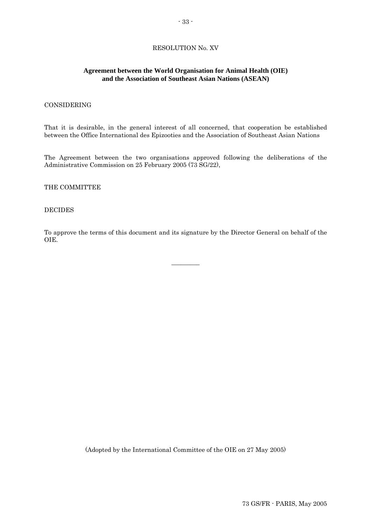### RESOLUTION No. XV

### **Agreement between the World Organisation for Animal Health (OIE) and the Association of Southeast Asian Nations (ASEAN)**

#### CONSIDERING

That it is desirable, in the general interest of all concerned, that cooperation be established between the Office International des Epizooties and the Association of Southeast Asian Nations

The Agreement between the two organisations approved following the deliberations of the Administrative Commission on 25 February 2005 (73 SG/22),

#### THE COMMITTEE

### DECIDES

To approve the terms of this document and its signature by the Director General on behalf of the OIE.

 $\overline{\phantom{a}}$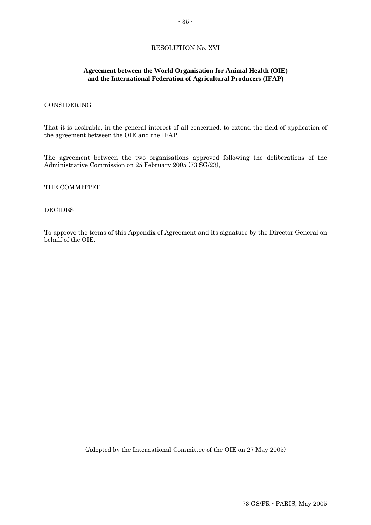### **Agreement between the World Organisation for Animal Health (OIE) and the International Federation of Agricultural Producers (IFAP)**

#### CONSIDERING

That it is desirable, in the general interest of all concerned, to extend the field of application of the agreement between the OIE and the IFAP,

The agreement between the two organisations approved following the deliberations of the Administrative Commission on 25 February 2005 (73 SG/23),

THE COMMITTEE

#### DECIDES

To approve the terms of this Appendix of Agreement and its signature by the Director General on behalf of the OIE.

 $\overline{\phantom{a}}$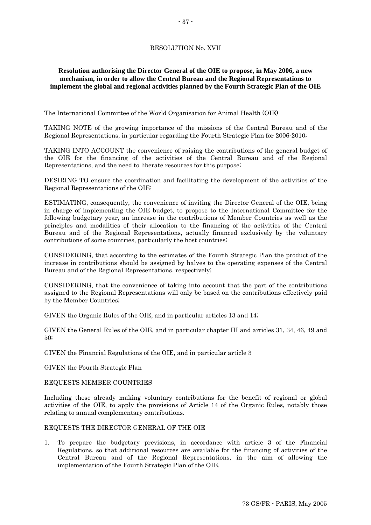# RESOLUTION No. XVII

# **Resolution authorising the Director General of the OIE to propose, in May 2006, a new mechanism, in order to allow the Central Bureau and the Regional Representations to implement the global and regional activities planned by the Fourth Strategic Plan of the OIE**

The International Committee of the World Organisation for Animal Health (OIE)

TAKING NOTE of the growing importance of the missions of the Central Bureau and of the Regional Representations, in particular regarding the Fourth Strategic Plan for 2006-2010;

TAKING INTO ACCOUNT the convenience of raising the contributions of the general budget of the OIE for the financing of the activities of the Central Bureau and of the Regional Representations, and the need to liberate resources for this purpose;

DESIRING TO ensure the coordination and facilitating the development of the activities of the Regional Representations of the OIE;

ESTIMATING, consequently, the convenience of inviting the Director General of the OIE, being in charge of implementing the OIE budget, to propose to the International Committee for the following budgetary year, an increase in the contributions of Member Countries as well as the principles and modalities of their allocation to the financing of the activities of the Central Bureau and of the Regional Representations, actually financed exclusively by the voluntary contributions of some countries, particularly the host countries;

CONSIDERING, that according to the estimates of the Fourth Strategic Plan the product of the increase in contributions should be assigned by halves to the operating expenses of the Central Bureau and of the Regional Representations, respectively;

CONSIDERING, that the convenience of taking into account that the part of the contributions assigned to the Regional Representations will only be based on the contributions effectively paid by the Member Countries;

GIVEN the Organic Rules of the OIE, and in particular articles 13 and 14;

GIVEN the General Rules of the OIE, and in particular chapter III and articles 31, 34, 46, 49 and 50;

GIVEN the Financial Regulations of the OIE, and in particular article 3

GIVEN the Fourth Strategic Plan

### REQUESTS MEMBER COUNTRIES

Including those already making voluntary contributions for the benefit of regional or global activities of the OIE, to apply the provisions of Article 14 of the Organic Rules, notably those relating to annual complementary contributions.

# REQUESTS THE DIRECTOR GENERAL OF THE OIE

1. To prepare the budgetary previsions, in accordance with article 3 of the Financial Regulations, so that additional resources are available for the financing of activities of the Central Bureau and of the Regional Representations, in the aim of allowing the implementation of the Fourth Strategic Plan of the OIE.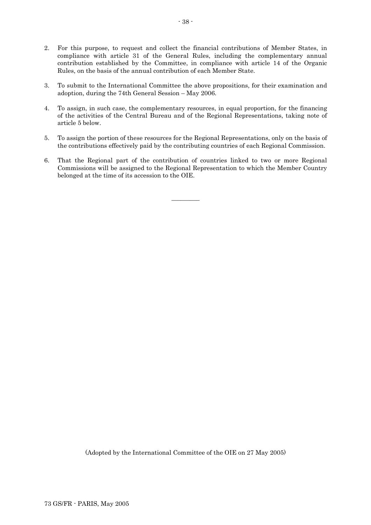- 2. For this purpose, to request and collect the financial contributions of Member States, in compliance with article 31 of the General Rules, including the complementary annual contribution established by the Committee, in compliance with article 14 of the Organic Rules, on the basis of the annual contribution of each Member State.
- 3. To submit to the International Committee the above propositions, for their examination and adoption, during the 74th General Session – May 2006.
- 4. To assign, in such case, the complementary resources, in equal proportion, for the financing of the activities of the Central Bureau and of the Regional Representations, taking note of article 5 below.
- 5. To assign the portion of these resources for the Regional Representations, only on the basis of the contributions effectively paid by the contributing countries of each Regional Commission.
- 6. That the Regional part of the contribution of countries linked to two or more Regional Commissions will be assigned to the Regional Representation to which the Member Country belonged at the time of its accession to the OIE.

 $\overline{\phantom{a}}$   $\overline{\phantom{a}}$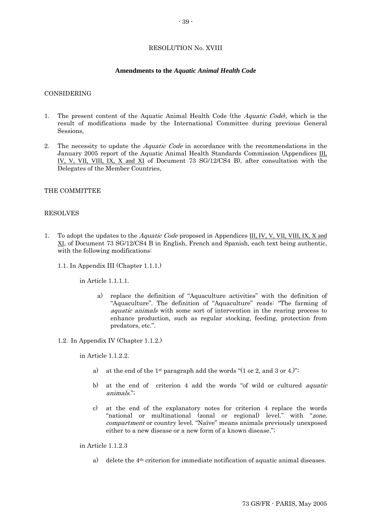### RESOLUTION No. XVIII

#### **Amendments to the** *Aquatic Animal Health Code*

#### CONSIDERING

- 1. The present content of the Aquatic Animal Health Code (the Aquatic Code), which is the result of modifications made by the International Committee during previous General Sessions,
- 2. The necessity to update the *Aquatic Code* in accordance with the recommendations in the January 2005 report of the Aquatic Animal Health Standards Commission (Appendices III, IV, V, VII, VIII, IX, X and XI of Document 73 SG/12/CS4 B), after consultation with the Delegates of the Member Countries,

### THE COMMITTEE

#### RESOLVES

- 1. To adopt the updates to the *Aquatic Code* proposed in Appendices III, IV, V, VII, VIII, IX, X and XI, of Document 73 SG/12/CS4 B in English, French and Spanish, each text being authentic, with the following modifications:
	- 1.1. In Appendix III (Chapter 1.1.1.)

in Article 1.1.1.1.

- a) replace the definition of "Aquaculture activities" with the definition of "Aquaculture". The definition of "Aquaculture" reads: "The farming of aquatic animals with some sort of intervention in the rearing process to enhance production, such as regular stocking, feeding, protection from predators, etc.".
- 1.2. In Appendix IV (Chapter 1.1.2.)

in Article 1.1.2.2.

- a) at the end of the 1<sup>st</sup> paragraph add the words " $(1 \text{ or } 2, \text{ and } 3 \text{ or } 4)$ ";
- b) at the end of criterion 4 add the words "of wild or cultured aquatic animals.";
- c) at the end of the explanatory notes for criterion 4 replace the words "national or multinational (zonal or regional) level." with "zone, compartment or country level. "Naïve" means animals previously unexposed either to a new disease or a new form of a known disease.";

in Article 1.1.2.3

a) delete the 4th criterion for immediate notification of aquatic animal diseases.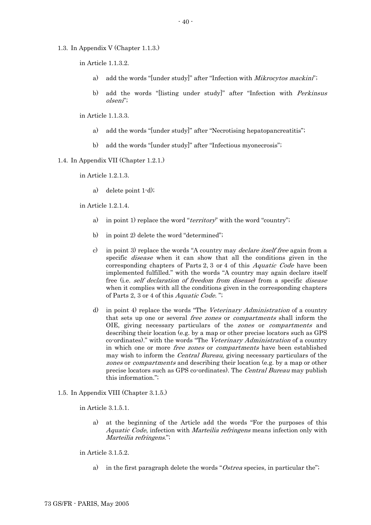1.3. In Appendix V (Chapter 1.1.3.)

in Article 1.1.3.2.

- a) add the words "[under study]" after "Infection with Mikrocytos mackini";
- b) add the words "[listing under study]" after "Infection with *Perkinsus* olseni";

in Article 1.1.3.3.

- a) add the words "[under study]" after "Necrotising hepatopancreatitis";
- b) add the words "[under study]" after "Infectious myonecrosis";
- 1.4. In Appendix VII (Chapter 1.2.1.)

in Article 1.2.1.3.

a) delete point 1-d);

in Article 1.2.1.4.

- a) in point 1) replace the word "*territory*" with the word "country";
- b) in point 2) delete the word "determined";
- c) in point 3) replace the words "A country may *declare itself free* again from a specific disease when it can show that all the conditions given in the corresponding chapters of Parts 2, 3 or 4 of this Aquatic Code have been implemented fulfilled." with the words "A country may again declare itself free (i.e. self declaration of freedom from disease) from a specific disease when it complies with all the conditions given in the corresponding chapters of Parts 2, 3 or 4 of this Aquatic Code. ";
- d) in point 4) replace the words "The Veterinary Administration of a country that sets up one or several free zones or compartments shall inform the OIE, giving necessary particulars of the zones or compartments and describing their location (e.g. by a map or other precise locators such as GPS co-ordinates)." with the words "The Veterinary Administration of a country in which one or more *free zones* or *compartments* have been established may wish to inform the Central Bureau, giving necessary particulars of the zones or compartments and describing their location (e.g. by a map or other precise locators such as GPS co-ordinates). The Central Bureau may publish this information.";
- 1.5. In Appendix VIII (Chapter 3.1.5.)

in Article 3.1.5.1.

a) at the beginning of the Article add the words "For the purposes of this Aquatic Code, infection with *Marteilia refringens* means infection only with Marteilia refringens.";

in Article 3.1.5.2.

a) in the first paragraph delete the words "Ostrea species, in particular the";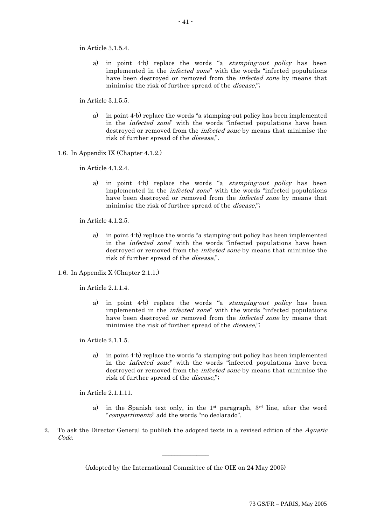in Article 3.1.5.4.

a) in point 4-b) replace the words "a stamping-out policy has been implemented in the infected zone" with the words "infected populations have been destroyed or removed from the infected zone by means that minimise the risk of further spread of the *disease*,";

in Article 3.1.5.5.

- a) in point 4-b) replace the words "a stamping-out policy has been implemented in the infected zone" with the words "infected populations have been destroyed or removed from the infected zone by means that minimise the risk of further spread of the disease,".
- 1.6. In Appendix IX (Chapter 4.1.2.)

in Article 4.1.2.4.

a) in point 4-b) replace the words "a stamping-out policy has been implemented in the infected zone" with the words "infected populations have been destroyed or removed from the *infected zone* by means that minimise the risk of further spread of the *disease*,";

in Article 4.1.2.5.

- a) in point 4-b) replace the words "a stamping-out policy has been implemented in the infected zone" with the words "infected populations have been destroyed or removed from the *infected zone* by means that minimise the risk of further spread of the disease,".
- 1.6. In Appendix X (Chapter 2.1.1.)

in Article 2.1.1.4.

a) in point 4-b) replace the words "a stamping-out policy has been implemented in the infected zone" with the words "infected populations have been destroyed or removed from the *infected zone* by means that minimise the risk of further spread of the *disease*,";

in Article 2.1.1.5.

a) in point 4-b) replace the words "a stamping-out policy has been implemented in the infected zone" with the words "infected populations have been destroyed or removed from the infected zone by means that minimise the risk of further spread of the disease,";

in Article 2.1.1.11.

- a) in the Spanish text only, in the 1st paragraph, 3rd line, after the word "compartimento" add the words "no declarado".
- 2. To ask the Director General to publish the adopted texts in a revised edition of the Aquatic Code.

 $\overline{\phantom{a}}$  , we can also the contract of  $\overline{\phantom{a}}$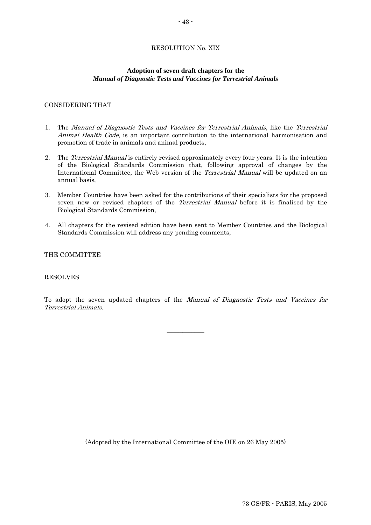## RESOLUTION No. XIX

## **Adoption of seven draft chapters for the**  *Manual of Diagnostic Tests and Vaccines for Terrestrial Animals*

## CONSIDERING THAT

- 1. The Manual of Diagnostic Tests and Vaccines for Terrestrial Animals, like the Terrestrial Animal Health Code, is an important contribution to the international harmonisation and promotion of trade in animals and animal products,
- 2. The Terrestrial Manual is entirely revised approximately every four years. It is the intention of the Biological Standards Commission that, following approval of changes by the International Committee, the Web version of the *Terrestrial Manual* will be updated on an annual basis,
- 3. Member Countries have been asked for the contributions of their specialists for the proposed seven new or revised chapters of the *Terrestrial Manual* before it is finalised by the Biological Standards Commission,
- 4. All chapters for the revised edition have been sent to Member Countries and the Biological Standards Commission will address any pending comments,

### THE COMMITTEE

### RESOLVES

To adopt the seven updated chapters of the Manual of Diagnostic Tests and Vaccines for Terrestrial Animals.

 $\overline{\phantom{a}}$  , we can also the contract of  $\overline{\phantom{a}}$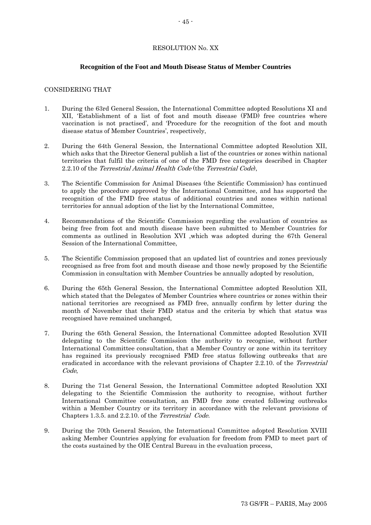### RESOLUTION No. XX

### **Recognition of the Foot and Mouth Disease Status of Member Countries**

### CONSIDERING THAT

- 1. During the 63rd General Session, the International Committee adopted Resolutions XI and XII, 'Establishment of a list of foot and mouth disease (FMD) free countries where vaccination is not practised', and 'Procedure for the recognition of the foot and mouth disease status of Member Countries', respectively,
- 2. During the 64th General Session, the International Committee adopted Resolution XII, which asks that the Director General publish a list of the countries or zones within national territories that fulfil the criteria of one of the FMD free categories described in Chapter 2.2.10 of the Terrestrial Animal Health Code (the Terrestrial Code),
- 3. The Scientific Commission for Animal Diseases (the Scientific Commission) has continued to apply the procedure approved by the International Committee, and has supported the recognition of the FMD free status of additional countries and zones within national territories for annual adoption of the list by the International Committee,
- 4. Recommendations of the Scientific Commission regarding the evaluation of countries as being free from foot and mouth disease have been submitted to Member Countries for comments as outlined in Resolution XVI ,which was adopted during the 67th General Session of the International Committee,
- 5. The Scientific Commission proposed that an updated list of countries and zones previously recognised as free from foot and mouth disease and those newly proposed by the Scientific Commission in consultation with Member Countries be annually adopted by resolution,
- 6. During the 65th General Session, the International Committee adopted Resolution XII, which stated that the Delegates of Member Countries where countries or zones within their national territories are recognised as FMD free, annually confirm by letter during the month of November that their FMD status and the criteria by which that status was recognised have remained unchanged,
- 7. During the 65th General Session, the International Committee adopted Resolution XVII delegating to the Scientific Commission the authority to recognise, without further International Committee consultation, that a Member Country or zone within its territory has regained its previously recognised FMD free status following outbreaks that are eradicated in accordance with the relevant provisions of Chapter 2.2.10. of the Terrestrial Code,
- 8. During the 71st General Session, the International Committee adopted Resolution XXI delegating to the Scientific Commission the authority to recognise, without further International Committee consultation, an FMD free zone created following outbreaks within a Member Country or its territory in accordance with the relevant provisions of Chapters 1.3.5. and 2.2.10. of the Terrestrial Code.
- 9. During the 70th General Session, the International Committee adopted Resolution XVIII asking Member Countries applying for evaluation for freedom from FMD to meet part of the costs sustained by the OIE Central Bureau in the evaluation process,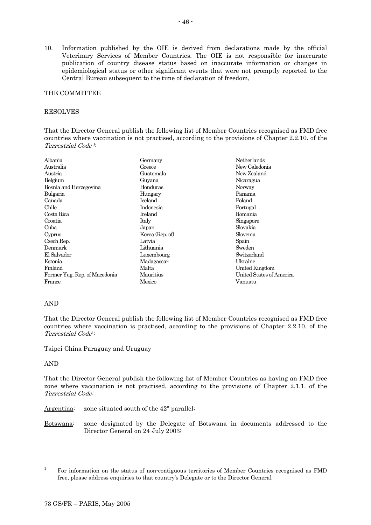10. Information published by the OIE is derived from declarations made by the official Veterinary Services of Member Countries. The OIE is not responsible for inaccurate publication of country disease status based on inaccurate information or changes in epidemiological status or other significant events that were not promptly reported to the Central Bureau subsequent to the time of declaration of freedom,

## THE COMMITTEE

## RESOLVES

That the Director General publish the following list of Member Countries recognised as FMD free countries where vaccination is not practised, according to the provisions of Chapter 2.2.10. of the Terrestrial Code 1:

| Albania                       | Germany         | Netherlands              |  |
|-------------------------------|-----------------|--------------------------|--|
| Australia                     | Greece          | New Caledonia            |  |
| Austria                       | Guatemala       | New Zealand              |  |
| Belgium                       | Guyana          | Nicaragua                |  |
| Bosnia and Herzegovina        | Honduras        | Norway                   |  |
| Bulgaria                      | Hungary         | Panama                   |  |
| Canada                        | Iceland         | Poland                   |  |
| Chile                         | Indonesia       | Portugal                 |  |
| Costa Rica                    | Ireland         | Romania                  |  |
| Croatia                       | Italy           | Singapore                |  |
| Cuba                          | Japan           | Slovakia                 |  |
| Cyprus                        | Korea (Rep. of) | Slovenia                 |  |
| Czech Rep.                    | Latvia          | Spain                    |  |
| Denmark                       | Lithuania       | Sweden                   |  |
| El Salvador                   | Luxembourg      | Switzerland              |  |
| Estonia                       | Madagascar      | Ukraine                  |  |
| Finland                       | Malta           | United Kingdom           |  |
| Former Yug. Rep. of Macedonia | Mauritius       | United States of America |  |
| France                        | Mexico          | Vanuatu                  |  |

### AND

That the Director General publish the following list of Member Countries recognised as FMD free countries where vaccination is practised, according to the provisions of Chapter 2.2.10. of the Terrestrial Code1:

Taipei China Paraguay and Uruguay

### AND

That the Director General publish the following list of Member Countries as having an FMD free zone where vaccination is not practised, according to the provisions of Chapter 2.1.1. of the Terrestrial Code:

Argentina: zone situated south of the 42° parallel;

Botswana: zone designated by the Delegate of Botswana in documents addressed to the Director General on 24 July 2003;

 $\overline{1}$ <sup>1</sup> For information on the status of non-contiguous territories of Member Countries recognised as FMD free, please address enquiries to that country's Delegate or to the Director General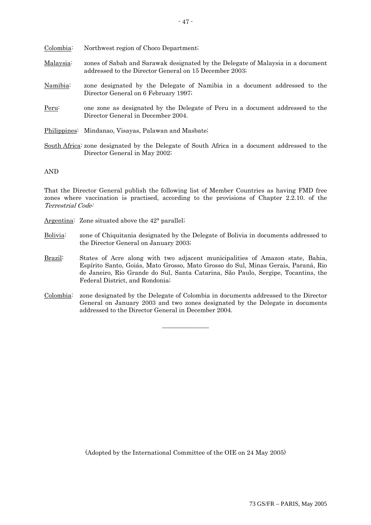| Colombia:       | Northwest region of Choco Department.                                                                                                     |
|-----------------|-------------------------------------------------------------------------------------------------------------------------------------------|
| Malaysia:       | zones of Sabah and Sarawak designated by the Delegate of Malaysia in a document<br>addressed to the Director General on 15 December 2003; |
| <u>Namibia:</u> | zone designated by the Delegate of Namibia in a document addressed to the<br>Director General on 6 February 1997;                         |
| Peru:           | one zone as designated by the Delegate of Peru in a document addressed to the<br>Director General in December 2004.                       |
|                 | Philippines: Mindanao, Visayas, Palawan and Masbate;                                                                                      |
|                 | $\mathcal{C}_{\text{out}}$ be a friend proported by the Delegate of Couth Africa in a decument addressed to the                           |

South Africa: zone designated by the Delegate of South Africa in a document addressed to the Director General in May 2002;

AND

That the Director General publish the following list of Member Countries as having FMD free zones where vaccination is practised, according to the provisions of Chapter 2.2.10. of the Terrestrial Code:

- Argentina: Zone situated above the 42° parallel;
- Bolivia: zone of Chiquitania designated by the Delegate of Bolivia in documents addressed to the Director General on January 2003;
- Brazil: States of Acre along with two adjacent municipalities of Amazon state, Bahia, Espírito Santo, Goiás, Mato Grosso, Mato Grosso do Sul, Minas Gerais, Paraná, Rio de Janeiro, Rio Grande do Sul, Santa Catarina, São Paulo, Sergipe, Tocantins, the Federal District, and Rondonia;
- Colombia: zone designated by the Delegate of Colombia in documents addressed to the Director General on January 2003 and two zones designated by the Delegate in documents addressed to the Director General in December 2004.

 $\overline{\phantom{a}}$  , we can also the contract of  $\overline{\phantom{a}}$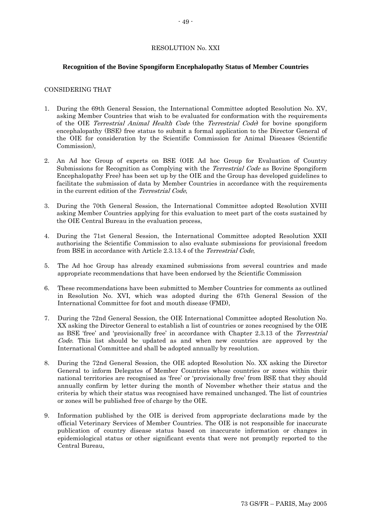### RESOLUTION No. XXI

### **Recognition of the Bovine Spongiform Encephalopathy Status of Member Countries**

### CONSIDERING THAT

- 1. During the 69th General Session, the International Committee adopted Resolution No. XV, asking Member Countries that wish to be evaluated for conformation with the requirements of the OIE Terrestrial Animal Health Code (the Terrestrial Code) for bovine spongiform encephalopathy (BSE) free status to submit a formal application to the Director General of the OIE for consideration by the Scientific Commission for Animal Diseases (Scientific Commission),
- 2. An Ad hoc Group of experts on BSE (OIE Ad hoc Group for Evaluation of Country Submissions for Recognition as Complying with the Terrestrial Code as Bovine Spongiform Encephalopathy Free) has been set up by the OIE and the Group has developed guidelines to facilitate the submission of data by Member Countries in accordance with the requirements in the current edition of the Terrestrial Code,
- 3. During the 70th General Session, the International Committee adopted Resolution XVIII asking Member Countries applying for this evaluation to meet part of the costs sustained by the OIE Central Bureau in the evaluation process,
- 4. During the 71st General Session, the International Committee adopted Resolution XXII authorising the Scientific Commission to also evaluate submissions for provisional freedom from BSE in accordance with Article 2.3.13.4 of the Terrestrial Code,
- 5. The Ad hoc Group has already examined submissions from several countries and made appropriate recommendations that have been endorsed by the Scientific Commission
- 6. These recommendations have been submitted to Member Countries for comments as outlined in Resolution No. XVI, which was adopted during the 67th General Session of the International Committee for foot and mouth disease (FMD),
- 7. During the 72nd General Session, the OIE International Committee adopted Resolution No. XX asking the Director General to establish a list of countries or zones recognised by the OIE as BSE 'free' and 'provisionally free' in accordance with Chapter 2.3.13 of the Terrestrial Code. This list should be updated as and when new countries are approved by the International Committee and shall be adopted annually by resolution.
- 8. During the 72nd General Session, the OIE adopted Resolution No. XX asking the Director General to inform Delegates of Member Countries whose countries or zones within their national territories are recognised as 'free' or 'provisionally free' from BSE that they should annually confirm by letter during the month of November whether their status and the criteria by which their status was recognised have remained unchanged. The list of countries or zones will be published free of charge by the OIE.
- 9. Information published by the OIE is derived from appropriate declarations made by the official Veterinary Services of Member Countries. The OIE is not responsible for inaccurate publication of country disease status based on inaccurate information or changes in epidemiological status or other significant events that were not promptly reported to the Central Bureau,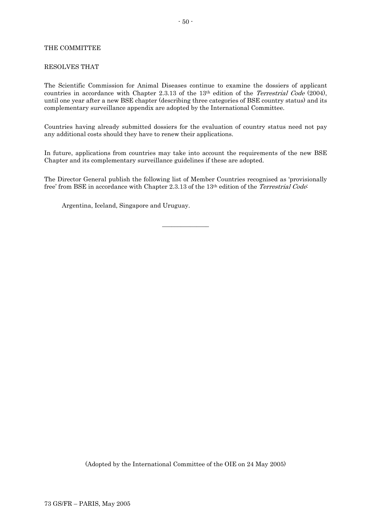## THE COMMITTEE

### RESOLVES THAT

The Scientific Commission for Animal Diseases continue to examine the dossiers of applicant countries in accordance with Chapter 2.3.13 of the 13<sup>th</sup> edition of the *Terrestrial Code* (2004), until one year after a new BSE chapter (describing three categories of BSE country status) and its complementary surveillance appendix are adopted by the International Committee.

Countries having already submitted dossiers for the evaluation of country status need not pay any additional costs should they have to renew their applications.

In future, applications from countries may take into account the requirements of the new BSE Chapter and its complementary surveillance guidelines if these are adopted.

The Director General publish the following list of Member Countries recognised as 'provisionally free' from BSE in accordance with Chapter 2.3.13 of the 13<sup>th</sup> edition of the *Terrestrial Code*:

 $\overline{\phantom{a}}$  , where  $\overline{\phantom{a}}$ 

Argentina, Iceland, Singapore and Uruguay.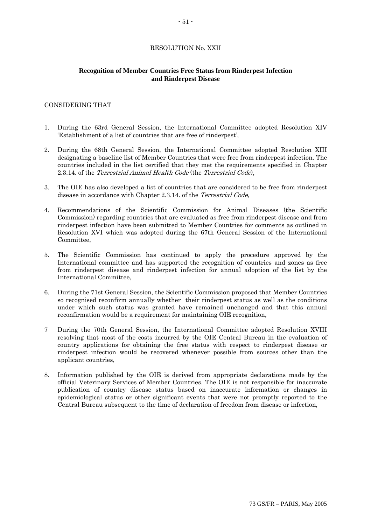# RESOLUTION No. XXII

## **Recognition of Member Countries Free Status from Rinderpest Infection and Rinderpest Disease**

## CONSIDERING THAT

- 1. During the 63rd General Session, the International Committee adopted Resolution XIV 'Establishment of a list of countries that are free of rinderpest',
- 2. During the 68th General Session, the International Committee adopted Resolution XIII designating a baseline list of Member Countries that were free from rinderpest infection. The countries included in the list certified that they met the requirements specified in Chapter 2.3.14. of the Terrestrial Animal Health Code (the Terrestrial Code),
- 3. The OIE has also developed a list of countries that are considered to be free from rinderpest disease in accordance with Chapter 2.3.14. of the Terrestrial Code,
- 4. Recommendations of the Scientific Commission for Animal Diseases (the Scientific Commission) regarding countries that are evaluated as free from rinderpest disease and from rinderpest infection have been submitted to Member Countries for comments as outlined in Resolution XVI which was adopted during the 67th General Session of the International Committee,
- 5. The Scientific Commission has continued to apply the procedure approved by the International committee and has supported the recognition of countries and zones as free from rinderpest disease and rinderpest infection for annual adoption of the list by the International Committee,
- 6. During the 71st General Session, the Scientific Commission proposed that Member Countries so recognised reconfirm annually whether their rinderpest status as well as the conditions under which such status was granted have remained unchanged and that this annual reconfirmation would be a requirement for maintaining OIE recognition,
- 7 During the 70th General Session, the International Committee adopted Resolution XVIII resolving that most of the costs incurred by the OIE Central Bureau in the evaluation of country applications for obtaining the free status with respect to rinderpest disease or rinderpest infection would be recovered whenever possible from sources other than the applicant countries,
- 8. Information published by the OIE is derived from appropriate declarations made by the official Veterinary Services of Member Countries. The OIE is not responsible for inaccurate publication of country disease status based on inaccurate information or changes in epidemiological status or other significant events that were not promptly reported to the Central Bureau subsequent to the time of declaration of freedom from disease or infection,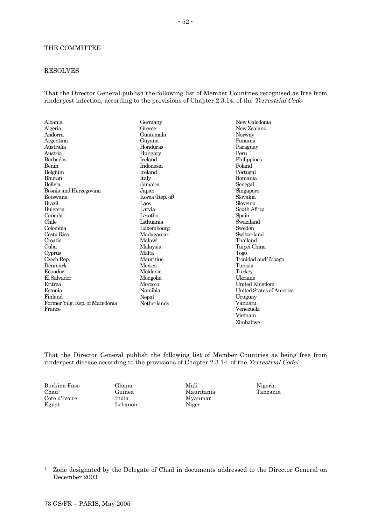### THE COMMITTEE

### RESOLVES

That the Director General publish the following list of Member Countries recognised as free from rinderpest infection, according to the provisions of Chapter 2.3.14. of the *Terrestrial Code*:

| Albania                       | Germany         | New Caledonia            |  |
|-------------------------------|-----------------|--------------------------|--|
| Algeria                       | Greece          | New Zealand              |  |
| Andorra                       | Guatemala       | Norway                   |  |
| Argentina                     | Guyana          | Panama                   |  |
| Australia                     | Honduras        | Paraguay                 |  |
| Austria                       | Hungary         | Peru                     |  |
| Barbados                      | <b>Iceland</b>  | Philippines              |  |
| Benin                         | Indonesia       | Poland                   |  |
| Belgium                       | Ireland         | Portugal                 |  |
| <b>Bhutan</b>                 | Italy           | Romania                  |  |
| Bolivia                       | Jamaica         | Senegal                  |  |
| Bosnia and Herzegovina        | Japan           | Singapore                |  |
| Botswana                      | Korea (Rep. of) | Slovakia                 |  |
| Brazil                        | Laos            | Slovenia                 |  |
| Bulgaria                      | Latvia          | South Africa             |  |
| Canada                        | Lesotho         | Spain                    |  |
| Chile                         | Lithuania       | Swaziland                |  |
| Colombia                      | Luxembourg      | Sweden                   |  |
| Costa Rica                    | Madagascar      | Switzerland              |  |
| Croatia                       | Malawi          | Thailand                 |  |
| Cuba                          | Malaysia        | Taipei China             |  |
| Cyprus                        | Malta           | Togo                     |  |
| Czech Rep.                    | Mauritius       | Trinidad and Tobago      |  |
| Denmark                       | Mexico          | Tunisia                  |  |
| Ecuador                       | Moldavia        | Turkey                   |  |
| El Salvador                   | Mongolia        | Ukraine                  |  |
| Eritrea                       | Morocco         | United Kingdom           |  |
| Estonia                       | Namibia         | United States of America |  |
| Finland                       | Nepal           | Uruguay                  |  |
| Former Yug. Rep. of Macedonia | Netherlands     | Vanuatu                  |  |
| France                        |                 | Venezuela                |  |

That the Director General publish the following list of Member Countries as being free from rinderpest disease according to the provisions of Chapter 2.3.14. of the Terrestrial Code;

Burkina Faso  $Chad<sup>1</sup>$ Cote d'Ivoire Egypt

 $\overline{\phantom{a}}$ 

Ghana Guinea India Lebanon Mali Mauritania Myanmar Niger

Nigeria Tanzania

Vietnam Zimbabwe

<sup>&</sup>lt;sup>1</sup> Zone designated by the Delegate of Chad in documents addressed to the Director General on December 2003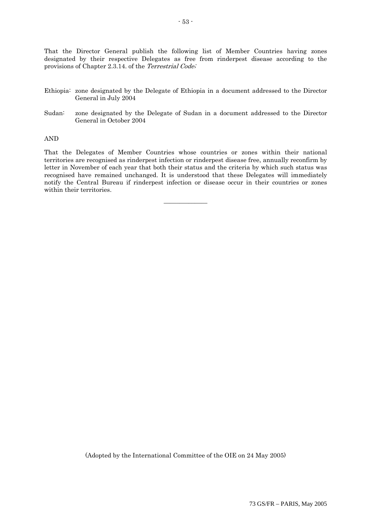That the Director General publish the following list of Member Countries having zones designated by their respective Delegates as free from rinderpest disease according to the provisions of Chapter 2.3.14. of the Terrestrial Code;

- Ethiopia: zone designated by the Delegate of Ethiopia in a document addressed to the Director General in July 2004
- Sudan: zone designated by the Delegate of Sudan in a document addressed to the Director General in October 2004

#### AND

That the Delegates of Member Countries whose countries or zones within their national territories are recognised as rinderpest infection or rinderpest disease free, annually reconfirm by letter in November of each year that both their status and the criteria by which such status was recognised have remained unchanged. It is understood that these Delegates will immediately notify the Central Bureau if rinderpest infection or disease occur in their countries or zones within their territories.

 $\overline{\phantom{a}}$  , where  $\overline{\phantom{a}}$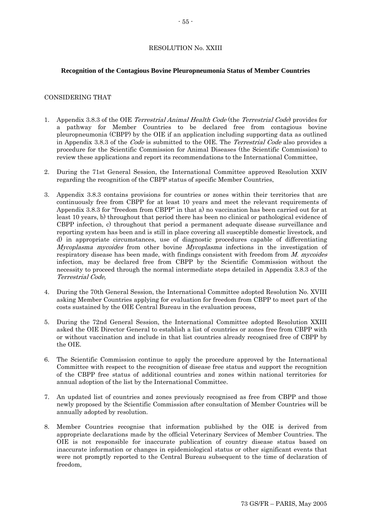#### RESOLUTION No. XXIII

#### **Recognition of the Contagious Bovine Pleuropneumonia Status of Member Countries**

#### CONSIDERING THAT

- 1. Appendix 3.8.3 of the OIE Terrestrial Animal Health Code (the Terrestrial Code) provides for a pathway for Member Countries to be declared free from contagious bovine pleuropneumonia (CBPP) by the OIE if an application including supporting data as outlined in Appendix 3.8.3 of the Code is submitted to the OIE. The Terrestrial Code also provides a procedure for the Scientific Commission for Animal Diseases (the Scientific Commission) to review these applications and report its recommendations to the International Committee,
- 2. During the 71st General Session, the International Committee approved Resolution XXIV regarding the recognition of the CBPP status of specific Member Countries,
- 3. Appendix 3.8.3 contains provisions for countries or zones within their territories that are continuously free from CBPP for at least 10 years and meet the relevant requirements of Appendix 3.8.3 for "freedom from CBPP" in that a) no vaccination has been carried out for at least 10 years, b) throughout that period there has been no clinical or pathological evidence of CBPP infection, c) throughout that period a permanent adequate disease surveillance and reporting system has been and is still in place covering all susceptible domestic livestock, and d) in appropriate circumstances, use of diagnostic procedures capable of differentiating Mycoplasma mycoides from other bovine Mycoplasma infections in the investigation of respiratory disease has been made, with findings consistent with freedom from M. mycoides infection, may be declared free from CBPP by the Scientific Commission without the necessity to proceed through the normal intermediate steps detailed in Appendix 3.8.3 of the Terrestrial Code,
- 4. During the 70th General Session, the International Committee adopted Resolution No. XVIII asking Member Countries applying for evaluation for freedom from CBPP to meet part of the costs sustained by the OIE Central Bureau in the evaluation process,
- 5. During the 72nd General Session, the International Committee adopted Resolution XXIII asked the OIE Director General to establish a list of countries or zones free from CBPP with or without vaccination and include in that list countries already recognised free of CBPP by the OIE.
- 6. The Scientific Commission continue to apply the procedure approved by the International Committee with respect to the recognition of disease free status and support the recognition of the CBPP free status of additional countries and zones within national territories for annual adoption of the list by the International Committee.
- 7. An updated list of countries and zones previously recognised as free from CBPP and those newly proposed by the Scientific Commission after consultation of Member Countries will be annually adopted by resolution.
- 8. Member Countries recognise that information published by the OIE is derived from appropriate declarations made by the official Veterinary Services of Member Countries. The OIE is not responsible for inaccurate publication of country disease status based on inaccurate information or changes in epidemiological status or other significant events that were not promptly reported to the Central Bureau subsequent to the time of declaration of freedom,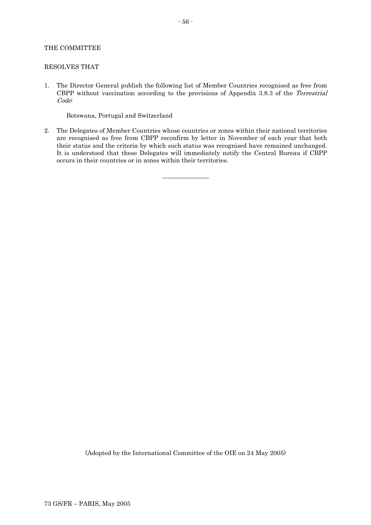### THE COMMITTEE

#### RESOLVES THAT

1. The Director General publish the following list of Member Countries recognised as free from CBPP without vaccination according to the provisions of Appendix 3.8.3 of the Terrestrial Code:

Botswana, Portugal and Switzerland

2. The Delegates of Member Countries whose countries or zones within their national territories are recognised as free from CBPP reconfirm by letter in November of each year that both their status and the criteria by which such status was recognised have remained unchanged. It is understood that these Delegates will immediately notify the Central Bureau if CBPP occurs in their countries or in zones within their territories.

 $\overline{\phantom{a}}$  , where  $\overline{\phantom{a}}$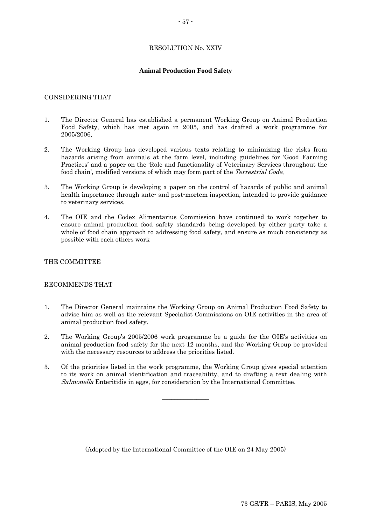## RESOLUTION No. XXIV

## **Animal Production Food Safety**

### CONSIDERING THAT

- 1. The Director General has established a permanent Working Group on Animal Production Food Safety, which has met again in 2005, and has drafted a work programme for 2005/2006,
- 2. The Working Group has developed various texts relating to minimizing the risks from hazards arising from animals at the farm level, including guidelines for 'Good Farming Practices' and a paper on the 'Role and functionality of Veterinary Services throughout the food chain', modified versions of which may form part of the Terrestrial Code,
- 3. The Working Group is developing a paper on the control of hazards of public and animal health importance through ante- and post-mortem inspection, intended to provide guidance to veterinary services,
- 4. The OIE and the Codex Alimentarius Commission have continued to work together to ensure animal production food safety standards being developed by either party take a whole of food chain approach to addressing food safety, and ensure as much consistency as possible with each others work

### THE COMMITTEE

### RECOMMENDS THAT

- 1. The Director General maintains the Working Group on Animal Production Food Safety to advise him as well as the relevant Specialist Commissions on OIE activities in the area of animal production food safety.
- 2. The Working Group's 2005/2006 work programme be a guide for the OIE's activities on animal production food safety for the next 12 months, and the Working Group be provided with the necessary resources to address the priorities listed.
- 3. Of the priorities listed in the work programme, the Working Group gives special attention to its work on animal identification and traceability, and to drafting a text dealing with Salmonella Enteritidis in eggs, for consideration by the International Committee.

 $\overline{\phantom{a}}$  , we can also the contract of  $\overline{\phantom{a}}$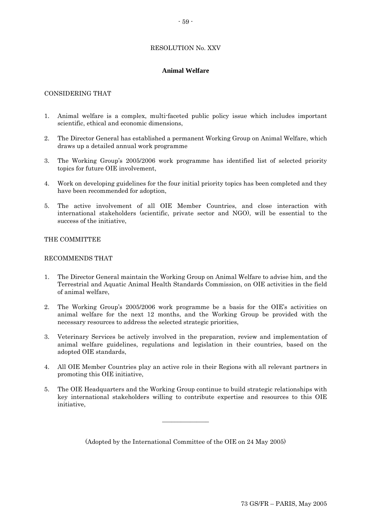## RESOLUTION No. XXV

## **Animal Welfare**

## CONSIDERING THAT

- 1. Animal welfare is a complex, multi-faceted public policy issue which includes important scientific, ethical and economic dimensions,
- 2. The Director General has established a permanent Working Group on Animal Welfare, which draws up a detailed annual work programme
- 3. The Working Group's 2005/2006 work programme has identified list of selected priority topics for future OIE involvement,
- 4. Work on developing guidelines for the four initial priority topics has been completed and they have been recommended for adoption,
- 5. The active involvement of all OIE Member Countries, and close interaction with international stakeholders (scientific, private sector and NGO), will be essential to the success of the initiative,

#### THE COMMITTEE

### RECOMMENDS THAT

- 1. The Director General maintain the Working Group on Animal Welfare to advise him, and the Terrestrial and Aquatic Animal Health Standards Commission, on OIE activities in the field of animal welfare,
- 2. The Working Group's 2005/2006 work programme be a basis for the OIE's activities on animal welfare for the next 12 months, and the Working Group be provided with the necessary resources to address the selected strategic priorities,
- 3. Veterinary Services be actively involved in the preparation, review and implementation of animal welfare guidelines, regulations and legislation in their countries, based on the adopted OIE standards,
- 4. All OIE Member Countries play an active role in their Regions with all relevant partners in promoting this OIE initiative,
- 5. The OIE Headquarters and the Working Group continue to build strategic relationships with key international stakeholders willing to contribute expertise and resources to this OIE initiative,

 $\overline{\phantom{a}}$  , where  $\overline{\phantom{a}}$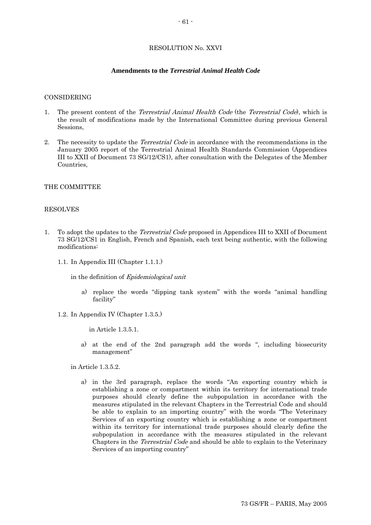### RESOLUTION No. XXVI

#### **Amendments to the** *Terrestrial Animal Health Code*

#### CONSIDERING

- 1. The present content of the *Terrestrial Animal Health Code* (the *Terrestrial Code*), which is the result of modifications made by the International Committee during previous General Sessions,
- 2. The necessity to update the *Terrestrial Code* in accordance with the recommendations in the January 2005 report of the Terrestrial Animal Health Standards Commission (Appendices III to XXII of Document 73 SG/12/CS1), after consultation with the Delegates of the Member Countries,

#### THE COMMITTEE

## RESOLVES

- 1. To adopt the updates to the *Terrestrial Code* proposed in Appendices III to XXII of Document 73 SG/12/CS1 in English, French and Spanish, each text being authentic, with the following modifications:
	- 1.1. In Appendix III (Chapter 1.1.1.)

in the definition of Epidemiological unit

- a) replace the words "dipping tank system" with the words "animal handling facility"
- 1.2. In Appendix IV (Chapter 1.3.5.)

in Article 1.3.5.1.

a) at the end of the 2nd paragraph add the words ", including biosecurity management"

in Article 1.3.5.2.

a) in the 3rd paragraph, replace the words "An exporting country which is establishing a zone or compartment within its territory for international trade purposes should clearly define the subpopulation in accordance with the measures stipulated in the relevant Chapters in the Terrestrial Code and should be able to explain to an importing country" with the words "The Veterinary Services of an exporting country which is establishing a zone or compartment within its territory for international trade purposes should clearly define the subpopulation in accordance with the measures stipulated in the relevant Chapters in the Terrestrial Code and should be able to explain to the Veterinary Services of an importing country"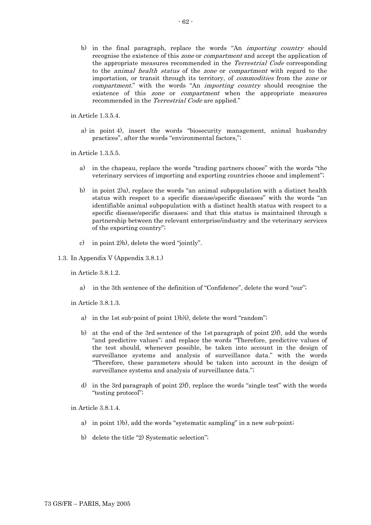b) in the final paragraph, replace the words "An importing country should recognise the existence of this zone or compartment and accept the application of the appropriate measures recommended in the Terrestrial Code corresponding to the animal health status of the zone or compartment with regard to the importation, or transit through its territory, of commodities from the zone or compartment." with the words "An *importing country* should recognise the existence of this *zone* or *compartment* when the appropriate measures recommended in the Terrestrial Code are applied."

in Article 1.3.5.4.

a) in point 4), insert the words "biosecurity management, animal husbandry practices", after the words "environmental factors,";

in Article 1.3.5.5.

- a) in the chapeau, replace the words "trading partners choose" with the words "the veterinary services of importing and exporting countries choose and implement";
- b) in point 2)a), replace the words "an animal subpopulation with a distinct health status with respect to a specific disease/specific diseases" with the words "an identifiable animal subpopulation with a distinct health status with respect to a specific disease/specific diseases; and that this status is maintained through a partnership between the relevant enterprise/industry and the veterinary services of the exporting country";
- c) in point 2)b), delete the word "jointly".
- 1.3. In Appendix V (Appendix 3.8.1.)

in Article 3.8.1.2.

a) in the 3th sentence of the definition of "Confidence", delete the word "our";

in Article 3.8.1.3.

- a) in the 1st sub-point of point 1)b)i), delete the word "random";
- b) at the end of the 3rd sentence of the 1st paragraph of point 2)f), add the words "and predictive values"; and replace the words "Therefore, predictive values of the test should, whenever possible, be taken into account in the design of surveillance systems and analysis of surveillance data." with the words "Therefore, these parameters should be taken into account in the design of surveillance systems and analysis of surveillance data.";
- d) in the 3rd paragraph of point 2)f), replace the words "single test" with the words "testing protocol";

in Article 3.8.1.4.

- a) in point 1)b), add the words "systematic sampling" in a new sub-point;
- b) delete the title "2) Systematic selection";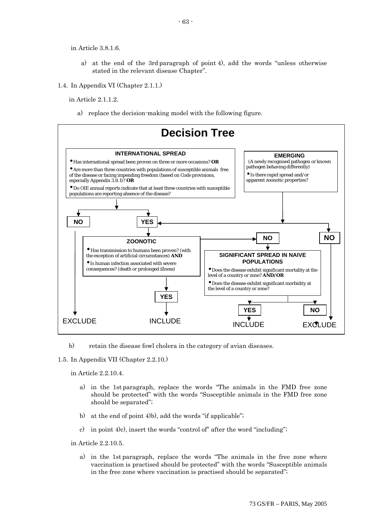in Article 3.8.1.6.

- a) at the end of the 3rd paragraph of point 4), add the words "unless otherwise stated in the relevant disease Chapter".
- 1.4. In Appendix VI (Chapter 2.1.1.)

in Article 2.1.1.2.

a) replace the decision-making model with the following figure.



b) retain the disease fowl cholera in the category of avian diseases.

1.5. In Appendix VII (Chapter 2.2.10.)

in Article 2.2.10.4.

- a) in the 1st paragraph, replace the words "The animals in the FMD free zone should be protected" with the words "Susceptible animals in the FMD free zone should be separated";
- b) at the end of point 4)b), add the words "if applicable";
- c) in point 4)c), insert the words "control of" after the word "including";

in Article 2.2.10.5.

a) in the 1st paragraph, replace the words "The animals in the free zone where vaccination is practised should be protected" with the words "Susceptible animals in the free zone where vaccination is practised should be separated";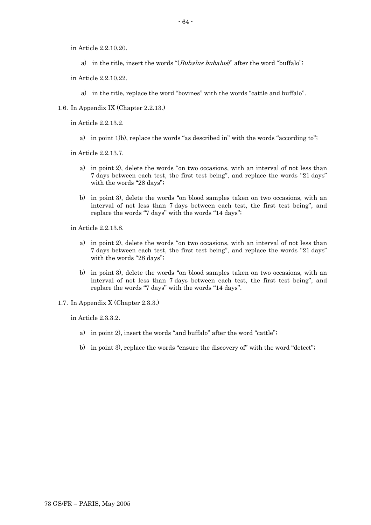in Article 2.2.10.20.

- a) in the title, insert the words "(*Bubalus bubalus*)" after the word "buffalo";
- in Article 2.2.10.22.
	- a) in the title, replace the word "bovines" with the words "cattle and buffalo".
- 1.6. In Appendix IX (Chapter 2.2.13.)
	- in Article 2.2.13.2.
		- a) in point 1)b), replace the words "as described in" with the words "according to";

in Article 2.2.13.7.

- a) in point 2), delete the words "on two occasions, with an interval of not less than 7 days between each test, the first test being", and replace the words "21 days" with the words "28 days";
- b) in point 3), delete the words "on blood samples taken on two occasions, with an interval of not less than 7 days between each test, the first test being", and replace the words "7 days" with the words "14 days";

in Article 2.2.13.8.

- a) in point 2), delete the words "on two occasions, with an interval of not less than 7 days between each test, the first test being", and replace the words "21 days" with the words "28 days";
- b) in point 3), delete the words "on blood samples taken on two occasions, with an interval of not less than 7 days between each test, the first test being", and replace the words "7 days" with the words "14 days".
- 1.7. In Appendix X (Chapter 2.3.3.)

in Article 2.3.3.2.

- a) in point 2), insert the words "and buffalo" after the word "cattle";
- b) in point 3), replace the words "ensure the discovery of" with the word "detect";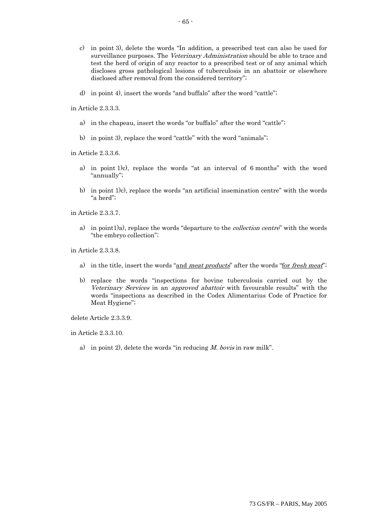- c) in point 3), delete the words "In addition, a prescribed test can also be used for surveillance purposes. The *Veterinary Administration* should be able to trace and test the herd of origin of any reactor to a prescribed test or of any animal which discloses gross pathological lesions of tuberculosis in an abattoir or elsewhere disclosed after removal from the considered territory";
- d) in point 4), insert the words "and buffalo" after the word "cattle";

in Article 2.3.3.3.

- a) in the chapeau, insert the words "or buffalo" after the word "cattle";
- b) in point 3), replace the word "cattle" with the word "animals";

in Article 2.3.3.6.

- a) in point 1)c), replace the words "at an interval of 6 months" with the word "annually";
- b) in point 1)c), replace the words "an artificial insemination centre" with the words "a herd";

in Article 2.3.3.7.

a) in point1)a), replace the words "departure to the *collection centre*" with the words "the embryo collection";

in Article 2.3.3.8.

- a) in the title, insert the words "and meat products" after the words "for fresh meat";
- b) replace the words "inspections for bovine tuberculosis carried out by the Veterinary Services in an approved abattoir with favourable results" with the words "inspections as described in the Codex Alimentarius Code of Practice for Meat Hygiene";

delete Article 2.3.3.9.

in Article 2.3.3.10.

a) in point 2), delete the words "in reducing  $M$ . bovis in raw milk".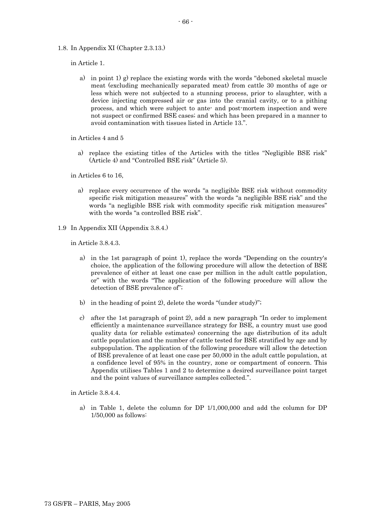1.8. In Appendix XI (Chapter 2.3.13.)

in Article 1.

a) in point 1) g) replace the existing words with the words "deboned skeletal muscle meat (excluding mechanically separated meat) from cattle 30 months of age or less which were not subjected to a stunning process, prior to slaughter, with a device injecting compressed air or gas into the cranial cavity, or to a pithing process, and which were subject to ante- and post-mortem inspection and were not suspect or confirmed BSE cases; and which has been prepared in a manner to avoid contamination with tissues listed in Article 13.".

in Articles 4 and 5

a) replace the existing titles of the Articles with the titles "Negligible BSE risk" (Article 4) and "Controlled BSE risk" (Article 5).

in Articles 6 to 16,

- a) replace every occurrence of the words "a negligible BSE risk without commodity specific risk mitigation measures" with the words "a negligible BSE risk" and the words "a negligible BSE risk with commodity specific risk mitigation measures" with the words "a controlled BSE risk".
- 1.9 In Appendix XII (Appendix 3.8.4.)

in Article 3.8.4.3.

- a) in the 1st paragraph of point 1), replace the words "Depending on the country's choice, the application of the following procedure will allow the detection of BSE prevalence of either at least one case per million in the adult cattle population, or" with the words "The application of the following procedure will allow the detection of BSE prevalence of";
- b) in the heading of point 2), delete the words "(under study)";
- c) after the 1st paragraph of point 2), add a new paragraph "In order to implement efficiently a maintenance surveillance strategy for BSE, a country must use good quality data (or reliable estimates) concerning the age distribution of its adult cattle population and the number of cattle tested for BSE stratified by age and by subpopulation. The application of the following procedure will allow the detection of BSE prevalence of at least one case per 50,000 in the adult cattle population, at a confidence level of 95% in the country, zone or compartment of concern. This Appendix utilises Tables 1 and 2 to determine a desired surveillance point target and the point values of surveillance samples collected.".

in Article 3.8.4.4.

a) in Table 1, delete the column for DP 1/1,000,000 and add the column for DP 1/50,000 as follows: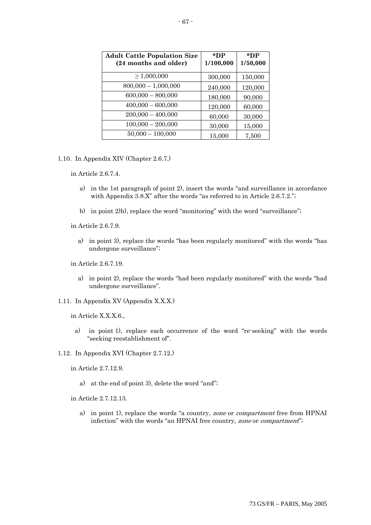| <b>Adult Cattle Population Size</b><br>(24 months and older) | $*DP$<br>1/100,000 | *DP<br>1/50,000 |
|--------------------------------------------------------------|--------------------|-----------------|
| $\geq 1,000,000$                                             | 300,000            | 150,000         |
| $800,000 - 1,000,000$                                        | 240,000            | 120,000         |
| $600,000 - 800,000$                                          | 180,000            | 90,000          |
| $400,000 - 600,000$                                          | 120,000            | 60,000          |
| $200,000 - 400,000$                                          | 60,000             | 30,000          |
| $100,000 - 200,000$                                          | 30,000             | 15,000          |
| $50,000 - 100,000$                                           | 15,000             | 7,500           |

1.10. In Appendix XIV (Chapter 2.6.7.)

in Article 2.6.7.4.

- a) in the 1st paragraph of point 2), insert the words "and surveillance in accordance with Appendix 3.8.X" after the words "as referred to in Article 2.6.7.2.";
- b) in point 2)h), replace the word "monitoring" with the word "surveillance";

in Article 2.6.7.9.

a) in point 3), replace the words "has been regularly monitored" with the words "has undergone surveillance";

in Article 2.6.7.19.

- a) in point 2), replace the words "had been regularly monitored" with the words "had undergone surveillance".
- 1.11. In Appendix XV (Appendix X.X.X.)

in Article X.X.X.6.,

- a) in point 1), replace each occurrence of the word "re-seeking" with the words "seeking reestablishment of".
- 1.12. In Appendix XVI (Chapter 2.7.12.)

in Article 2.7.12.9.

a) at the end of point 3), delete the word "and";

in Article 2.7.12.13.

a) in point 1), replace the words "a country, zone or compartment free from HPNAI infection" with the words "an HPNAI free country, zone or compartment";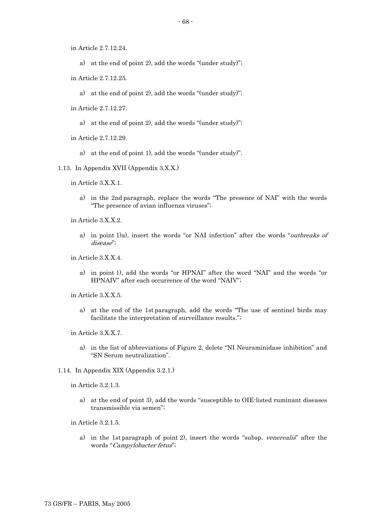in Article 2.7.12.24.

- a) at the end of point 2), add the words "(under study)";
- in Article 2.7.12.25.
	- a) at the end of point 2), add the words "(under study)";
- in Article 2.7.12.27.
	- a) at the end of point 2), add the words "(under study)";
- in Article 2.7.12.29.
	- a) at the end of point 1), add the words "(under study)".
- 1.13. In Appendix XVII (Appendix 3.X.X.)
	- in Article 3.X.X.1.
		- a) in the 2nd paragraph, replace the words "The presence of NAI" with the words "The presence of avian influenza viruses";
	- in Article 3.X.X.2.
		- a) in point 1)a), insert the words "or NAI infection" after the words "outbreaks of disease";
	- in Article 3.X.X.4.
		- a) in point 1), add the words "or HPNAI" after the word "NAI" and the words "or HPNAIV" after each occurrence of the word "NAIV";
	- in Article 3.X.X.5.
		- a) at the end of the 1st paragraph, add the words "The use of sentinel birds may facilitate the interpretation of surveillance results.";
	- in Article 3.X.X.7.
		- a) in the list of abbreviations of Figure 2, delete "NI Neuraminidase inhibition" and "SN Serum neutralization".
- 1.14. In Appendix XIX (Appendix 3.2.1.)

in Article 3.2.1.3.

- a) at the end of point 3), add the words "susceptible to OIE-listed ruminant diseases transmissible via semen";
- in Article 3.2.1.5.
	- a) in the 1st paragraph of point 2), insert the words "subsp. venerealis" after the words "Campylobacter fetus";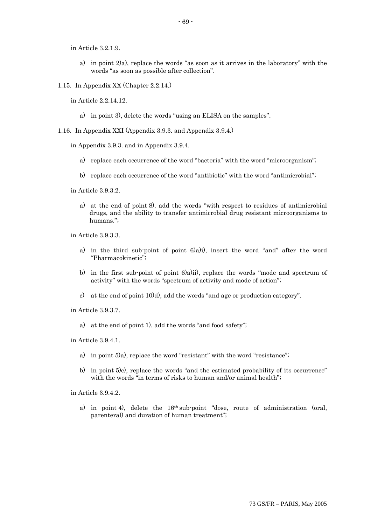in Article 3.2.1.9.

- a) in point 2)a), replace the words "as soon as it arrives in the laboratory" with the words "as soon as possible after collection".
- 1.15. In Appendix XX (Chapter 2.2.14.)

in Article 2.2.14.12.

a) in point 3), delete the words "using an ELISA on the samples".

1.16. In Appendix XXI (Appendix 3.9.3. and Appendix 3.9.4.)

in Appendix 3.9.3. and in Appendix 3.9.4.

- a) replace each occurrence of the word "bacteria" with the word "microorganism";
- b) replace each occurrence of the word "antibiotic" with the word "antimicrobial";

in Article 3.9.3.2.

a) at the end of point 8), add the words "with respect to residues of antimicrobial drugs, and the ability to transfer antimicrobial drug resistant microorganisms to humans.";

in Article 3.9.3.3.

- a) in the third sub-point of point 6)a)i), insert the word "and" after the word "Pharmacokinetic";
- b) in the first sub-point of point 6)a)ii), replace the words "mode and spectrum of activity" with the words "spectrum of activity and mode of action";
- c) at the end of point 10)d), add the words "and age or production category".

in Article 3.9.3.7.

a) at the end of point 1), add the words "and food safety";

in Article 3.9.4.1.

- a) in point 5)a), replace the word "resistant" with the word "resistance";
- b) in point 5)c), replace the words "and the estimated probability of its occurrence" with the words "in terms of risks to human and/or animal health";

in Article 3.9.4.2.

a) in point 4), delete the 16th sub-point "dose, route of administration (oral, parenteral) and duration of human treatment";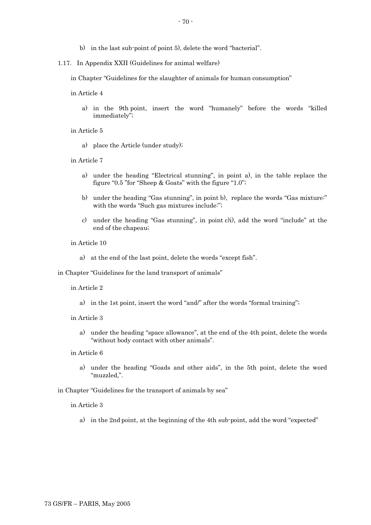- b) in the last sub-point of point 5), delete the word "bacterial".
- 1.17. In Appendix XXII (Guidelines for animal welfare)

in Chapter "Guidelines for the slaughter of animals for human consumption"

- in Article 4
	- a) in the 9th point, insert the word "humanely" before the words "killed immediately";

in Article 5

a) place the Article (under study);

in Article 7

- a) under the heading "Electrical stunning", in point a), in the table replace the figure "0.5 "for "Sheep & Goats" with the figure "1.0";
- b) under the heading "Gas stunning", in point b), replace the words "Gas mixture:" with the words "Such gas mixtures include:";
- c) under the heading "Gas stunning", in point c)i), add the word "include" at the end of the chapeau;

in Article 10

a) at the end of the last point, delete the words "except fish".

in Chapter "Guidelines for the land transport of animals"

in Article 2

- a) in the 1st point, insert the word "and/" after the words "formal training";
- in Article 3
	- a) under the heading "space allowance", at the end of the 4th point, delete the words "without body contact with other animals".
- in Article 6
	- a) under the heading "Goads and other aids", in the 5th point, delete the word "muzzled,".

in Chapter "Guidelines for the transport of animals by sea"

in Article 3

a) in the 2nd point, at the beginning of the 4th sub-point, add the word "expected"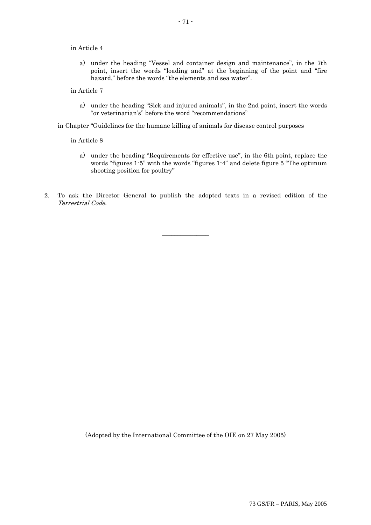#### in Article 4

- a) under the heading "Vessel and container design and maintenance", in the 7th point, insert the words "loading and" at the beginning of the point and "fire hazard," before the words "the elements and sea water".
- in Article 7
	- a) under the heading "Sick and injured animals", in the 2nd point, insert the words "or veterinarian's" before the word "recommendations"
- in Chapter "Guidelines for the humane killing of animals for disease control purposes

in Article 8

- a) under the heading "Requirements for effective use", in the 6th point, replace the words "figures 1-5" with the words "figures 1-4" and delete figure 5 "The optimum shooting position for poultry"
- 2. To ask the Director General to publish the adopted texts in a revised edition of the Terrestrial Code.

 $\overline{\phantom{a}}$  , we can also the contract of  $\overline{\phantom{a}}$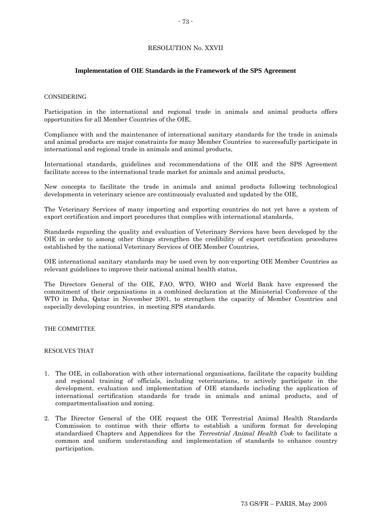## RESOLUTION No. XXVII

### **Implementation of OIE Standards in the Framework of the SPS Agreement**

#### CONSIDERING

Participation in the international and regional trade in animals and animal products offers opportunities for all Member Countries of the OIE,

Compliance with and the maintenance of international sanitary standards for the trade in animals and animal products are major constraints for many Member Countries to successfully participate in international and regional trade in animals and animal products,

International standards, guidelines and recommendations of the OIE and the SPS Agreement facilitate access to the international trade market for animals and animal products,

New concepts to facilitate the trade in animals and animal products following technological developments in veterinary science are continuously evaluated and updated by the OIE,

The Veterinary Services of many importing and exporting countries do not yet have a system of export certification and import procedures that complies with international standards,

Standards regarding the quality and evaluation of Veterinary Services have been developed by the OIE in order to among other things strengthen the credibility of export certification procedures established by the national Veterinary Services of OIE Member Countries,

OIE international sanitary standards may be used even by non-exporting OIE Member Countries as relevant guidelines to improve their national animal health status,

The Directors General of the OIE, FAO, WTO, WHO and World Bank have expressed the commitment of their organisations in a combined declaration at the Ministerial Conference of the WTO in Doha, Qatar in November 2001, to strengthen the capacity of Member Countries and especially developing countries, in meeting SPS standards.

#### THE COMMITTEE

#### RESOLVES THAT

- 1. The OIE, in collaboration with other international organisations, facilitate the capacity building and regional training of officials, including veterinarians, to actively participate in the development, evaluation and implementation of OIE standards including the application of international certification standards for trade in animals and animal products, and of compartmentalisation and zoning.
- 2. The Director General of the OIE request the OIE Terrestrial Animal Health Standards Commission to continue with their efforts to establish a uniform format for developing standardised Chapters and Appendices for the *Terrestrial Animal Health Code* to facilitate a common and uniform understanding and implementation of standards to enhance country participation.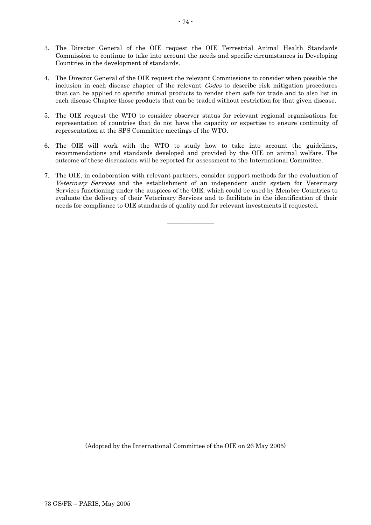- 3. The Director General of the OIE request the OIE Terrestrial Animal Health Standards Commission to continue to take into account the needs and specific circumstances in Developing Countries in the development of standards.
- 4. The Director General of the OIE request the relevant Commissions to consider when possible the inclusion in each disease chapter of the relevant *Codes* to describe risk mitigation procedures that can be applied to specific animal products to render them safe for trade and to also list in each disease Chapter those products that can be traded without restriction for that given disease.
- 5. The OIE request the WTO to consider observer status for relevant regional organisations for representation of countries that do not have the capacity or expertise to ensure continuity of representation at the SPS Committee meetings of the WTO.
- 6. The OIE will work with the WTO to study how to take into account the guidelines, recommendations and standards developed and provided by the OIE on animal welfare. The outcome of these discussions will be reported for assessment to the International Committee.
- 7. The OIE, in collaboration with relevant partners, consider support methods for the evaluation of Veterinary Services and the establishment of an independent audit system for Veterinary Services functioning under the auspices of the OIE, which could be used by Member Countries to evaluate the delivery of their Veterinary Services and to facilitate in the identification of their needs for compliance to OIE standards of quality and for relevant investments if requested.

 $\overline{\phantom{a}}$  , where  $\overline{\phantom{a}}$ 

(Adopted by the International Committee of the OIE on 26 May 2005)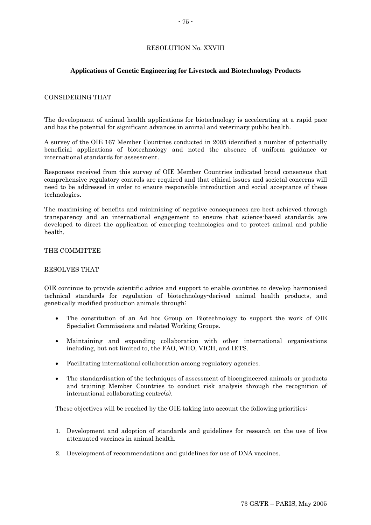# RESOLUTION No. XXVIII

### **Applications of Genetic Engineering for Livestock and Biotechnology Products**

### CONSIDERING THAT

The development of animal health applications for biotechnology is accelerating at a rapid pace and has the potential for significant advances in animal and veterinary public health.

A survey of the OIE 167 Member Countries conducted in 2005 identified a number of potentially beneficial applications of biotechnology and noted the absence of uniform guidance or international standards for assessment.

Responses received from this survey of OIE Member Countries indicated broad consensus that comprehensive regulatory controls are required and that ethical issues and societal concerns will need to be addressed in order to ensure responsible introduction and social acceptance of these technologies.

The maximising of benefits and minimising of negative consequences are best achieved through transparency and an international engagement to ensure that science-based standards are developed to direct the application of emerging technologies and to protect animal and public health.

## THE COMMITTEE

#### RESOLVES THAT

OIE continue to provide scientific advice and support to enable countries to develop harmonised technical standards for regulation of biotechnology-derived animal health products, and genetically modified production animals through:

- The constitution of an Ad hoc Group on Biotechnology to support the work of OIE Specialist Commissions and related Working Groups.
- Maintaining and expanding collaboration with other international organisations including, but not limited to, the FAO, WHO, VICH, and IETS.
- Facilitating international collaboration among regulatory agencies.
- The standardisation of the techniques of assessment of bioengineered animals or products and training Member Countries to conduct risk analysis through the recognition of international collaborating centre(s).

These objectives will be reached by the OIE taking into account the following priorities:

- 1. Development and adoption of standards and guidelines for research on the use of live attenuated vaccines in animal health.
- 2. Development of recommendations and guidelines for use of DNA vaccines.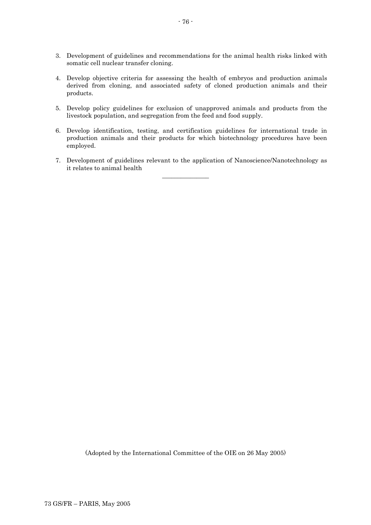- 3. Development of guidelines and recommendations for the animal health risks linked with somatic cell nuclear transfer cloning.
- 4. Develop objective criteria for assessing the health of embryos and production animals derived from cloning, and associated safety of cloned production animals and their products.
- 5. Develop policy guidelines for exclusion of unapproved animals and products from the livestock population, and segregation from the feed and food supply.
- 6. Develop identification, testing, and certification guidelines for international trade in production animals and their products for which biotechnology procedures have been employed.
- 7. Development of guidelines relevant to the application of Nanoscience/Nanotechnology as it relates to animal health

 $\overline{\phantom{a}}$  , where the contract of  $\overline{\phantom{a}}$ 

(Adopted by the International Committee of the OIE on 26 May 2005)